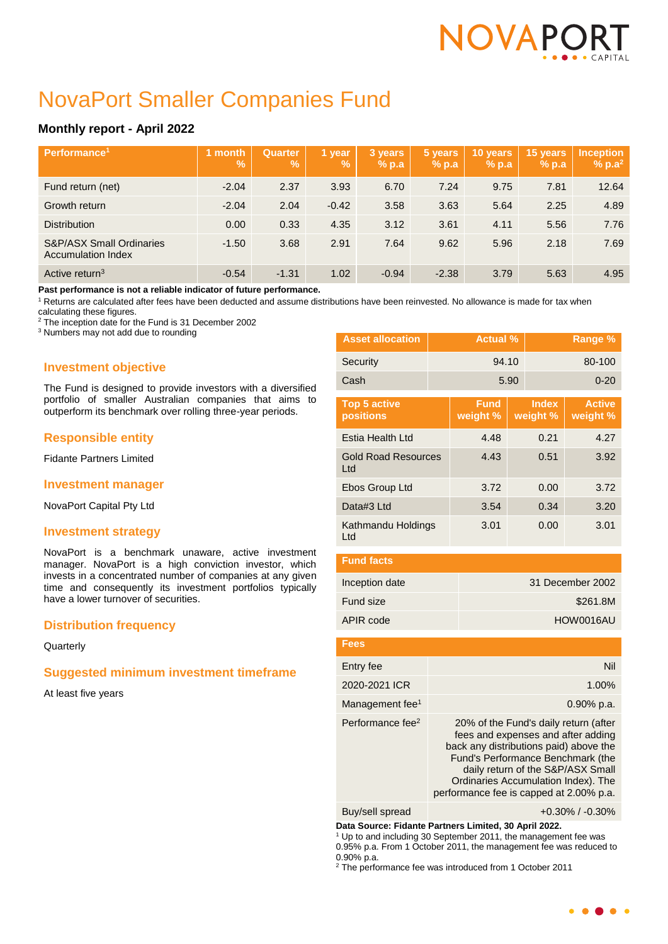# NOVAPC

## NovaPort Smaller Companies Fund

### **Monthly report - April 2022**

| Performance <sup>1</sup>                                         | month<br>$\mathbf{V}_{\mathbf{0}}$ | Quarter<br><b>Vol.</b> | 1 year<br>V. | 3 years<br>$%$ p.a | 5 years<br>% p.a | 10 years<br>$%$ p.a | 15 years<br>$%$ p.a | <b>Inception</b><br>$% p.a^2$ |
|------------------------------------------------------------------|------------------------------------|------------------------|--------------|--------------------|------------------|---------------------|---------------------|-------------------------------|
| Fund return (net)                                                | $-2.04$                            | 2.37                   | 3.93         | 6.70               | 7.24             | 9.75                | 7.81                | 12.64                         |
| Growth return                                                    | $-2.04$                            | 2.04                   | $-0.42$      | 3.58               | 3.63             | 5.64                | 2.25                | 4.89                          |
| <b>Distribution</b>                                              | 0.00                               | 0.33                   | 4.35         | 3.12               | 3.61             | 4.11                | 5.56                | 7.76                          |
| <b>S&amp;P/ASX Small Ordinaries</b><br><b>Accumulation Index</b> | $-1.50$                            | 3.68                   | 2.91         | 7.64               | 9.62             | 5.96                | 2.18                | 7.69                          |
| Active return <sup>3</sup>                                       | $-0.54$                            | $-1.31$                | 1.02         | $-0.94$            | $-2.38$          | 3.79                | 5.63                | 4.95                          |

**Past performance is not a reliable indicator of future performance.**

<sup>1</sup> Returns are calculated after fees have been deducted and assume distributions have been reinvested. No allowance is made for tax when

calculating these figures.

<sup>2</sup> The inception date for the Fund is 31 December 2002

<sup>3</sup> Numbers may not add due to rounding

#### **Investment objective**

The Fund is designed to provide investors with a diversified portfolio of smaller Australian companies that aims to outperform its benchmark over rolling three-year periods.

#### **Responsible entity**

Fidante Partners Limited

#### **Investment manager**

NovaPort Capital Pty Ltd

#### **Investment strategy**

NovaPort is a benchmark unaware, active investment manager. NovaPort is a high conviction investor, which invests in a concentrated number of companies at any given time and consequently its investment portfolios typically have a lower turnover of securities.

#### **Distribution frequency**

**Quarterly** 

#### **Suggested minimum investment timeframe**

At least five years

| <b>Asset allocation</b>           | <b>Actual %</b> |                         | Range % |                          |                           |
|-----------------------------------|-----------------|-------------------------|---------|--------------------------|---------------------------|
| Security                          |                 | 94.10                   |         |                          | 80-100                    |
| Cash                              |                 |                         | 5.90    |                          | $0 - 20$                  |
| <b>Top 5 active</b><br>positions  |                 | <b>Fund</b><br>weight % |         | <b>Index</b><br>weight % | <b>Active</b><br>weight % |
| Estia Health Ltd                  |                 | 4.48                    | 0.21    |                          | 4.27                      |
| <b>Gold Road Resources</b><br>Ltd |                 | 4.43                    | 0.51    |                          | 3.92                      |
| Ebos Group Ltd                    |                 | 3.72                    | 0.00    |                          | 3.72                      |
| Data#3 Ltd                        |                 | 3.54                    | 0.34    |                          | 3.20                      |
| Kathmandu Holdings<br>Ltd         |                 | 3.01                    | 0.00    |                          | 3.01                      |
| <b>Fund facts</b>                 |                 |                         |         |                          |                           |

| Inception date | 31 December 2002 |
|----------------|------------------|
| Fund size      | \$261.8M         |
| APIR code      | HOW0016AU        |

| Fees                         |                                                                                                                                                                                                                                                                                   |
|------------------------------|-----------------------------------------------------------------------------------------------------------------------------------------------------------------------------------------------------------------------------------------------------------------------------------|
| Entry fee                    | Nil                                                                                                                                                                                                                                                                               |
| 2020-2021 ICR                | 1.00%                                                                                                                                                                                                                                                                             |
| Management fee <sup>1</sup>  | $0.90\%$ p.a.                                                                                                                                                                                                                                                                     |
| Performance fee <sup>2</sup> | 20% of the Fund's daily return (after<br>fees and expenses and after adding<br>back any distributions paid) above the<br>Fund's Performance Benchmark (the<br>daily return of the S&P/ASX Small<br>Ordinaries Accumulation Index). The<br>performance fee is capped at 2.00% p.a. |

Buy/sell spread +0.30% / -0.30%

**Data Source: Fidante Partners Limited, 30 April 2022.**

<sup>1</sup> Up to and including 30 September 2011, the management fee was 0.95% p.a. From 1 October 2011, the management fee was reduced to 0.90% p.a.

 $2$  The performance fee was introduced from 1 October 2011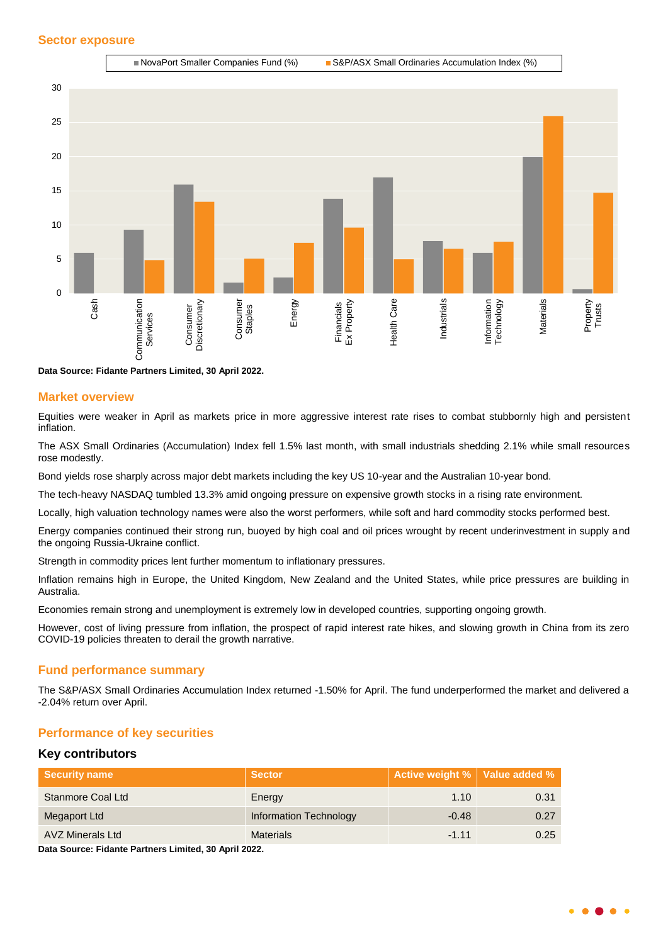

**Data Source: Fidante Partners Limited, 30 April 2022.**

#### **Market overview**

Equities were weaker in April as markets price in more aggressive interest rate rises to combat stubbornly high and persistent inflation.

The ASX Small Ordinaries (Accumulation) Index fell 1.5% last month, with small industrials shedding 2.1% while small resources rose modestly.

Bond yields rose sharply across major debt markets including the key US 10-year and the Australian 10-year bond.

The tech-heavy NASDAQ tumbled 13.3% amid ongoing pressure on expensive growth stocks in a rising rate environment.

Locally, high valuation technology names were also the worst performers, while soft and hard commodity stocks performed best.

Energy companies continued their strong run, buoyed by high coal and oil prices wrought by recent underinvestment in supply and the ongoing Russia-Ukraine conflict.

Strength in commodity prices lent further momentum to inflationary pressures.

Inflation remains high in Europe, the United Kingdom, New Zealand and the United States, while price pressures are building in Australia.

Economies remain strong and unemployment is extremely low in developed countries, supporting ongoing growth.

However, cost of living pressure from inflation, the prospect of rapid interest rate hikes, and slowing growth in China from its zero COVID-19 policies threaten to derail the growth narrative.

#### **Fund performance summary**

The S&P/ASX Small Ordinaries Accumulation Index returned -1.50% for April. The fund underperformed the market and delivered a -2.04% return over April.

#### **Performance of key securities**

#### **Key contributors**

| <b>Security name</b>    | <b>Sector</b>                 | Active weight %   Value added % |      |
|-------------------------|-------------------------------|---------------------------------|------|
| Stanmore Coal Ltd       | Energy                        | 1.10                            | 0.31 |
| Megaport Ltd            | <b>Information Technology</b> | $-0.48$                         | 0.27 |
| <b>AVZ Minerals Ltd</b> | <b>Materials</b>              | $-1.11$                         | 0.25 |

**Data Source: Fidante Partners Limited, 30 April 2022.**